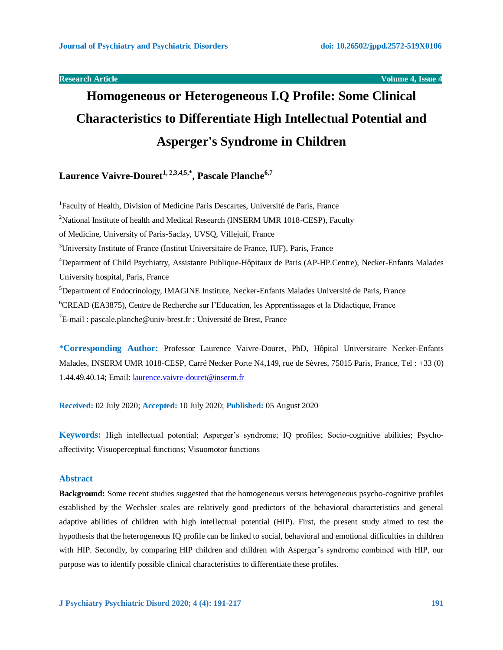**Research Article Volume 4, Issue 4** 

# **Homogeneous or Heterogeneous I.Q Profile: Some Clinical Characteristics to Differentiate High Intellectual Potential and Asperger's Syndrome in Children**

**Laurence Vaivre-Douret1, 2,3,4,5,\* , Pascale Planche6,7**

<sup>1</sup>Faculty of Health, Division of Medicine Paris Descartes, Université de Paris, France <sup>2</sup>National Institute of health and Medical Research (INSERM UMR 1018-CESP), Faculty of Medicine, University of Paris-Saclay, UVSQ, Villejuif, France <sup>3</sup>University Institute of France (Institut Universitaire de France, IUF), Paris, France <sup>4</sup>Department of Child Psychiatry, Assistante Publique-Hôpitaux de Paris (AP-HP.Centre), Necker-Enfants Malades University hospital, Paris, France <sup>5</sup>Department of Endocrinology, IMAGINE Institute, Necker-Enfants Malades Université de Paris, France <sup>6</sup>CREAD (EA3875), Centre de Recherche sur l'Education, les Apprentissages et la Didactique, France  ${}^{7}E$ -mail : pascale.planche@univ-brest.fr ; Université de Brest, France

\***Corresponding Author:** Professor Laurence Vaivre-Douret, PhD, Hôpital Universitaire Necker-Enfants Malades, INSERM UMR 1018-CESP, Carré Necker Porte N4,149, rue de Sèvres, 75015 Paris, France, Tel : +33 (0) 1.44.49.40.14; Email[: laurence.vaivre-douret@inserm.fr](mailto:laurence.vaivre-douret@inserm.fr)

**Received:** 02 July 2020; **Accepted:** 10 July 2020; **Published:** 05 August 2020

**Keywords:** High intellectual potential; Asperger's syndrome; IQ profiles; Socio-cognitive abilities; Psychoaffectivity; Visuoperceptual functions; Visuomotor functions

## **Abstract**

**Background:** Some recent studies suggested that the homogeneous versus heterogeneous psycho-cognitive profiles established by the Wechsler scales are relatively good predictors of the behavioral characteristics and general adaptive abilities of children with high intellectual potential (HIP). First, the present study aimed to test the hypothesis that the heterogeneous IQ profile can be linked to social, behavioral and emotional difficulties in children with HIP. Secondly, by comparing HIP children and children with Asperger's syndrome combined with HIP, our purpose was to identify possible clinical characteristics to differentiate these profiles.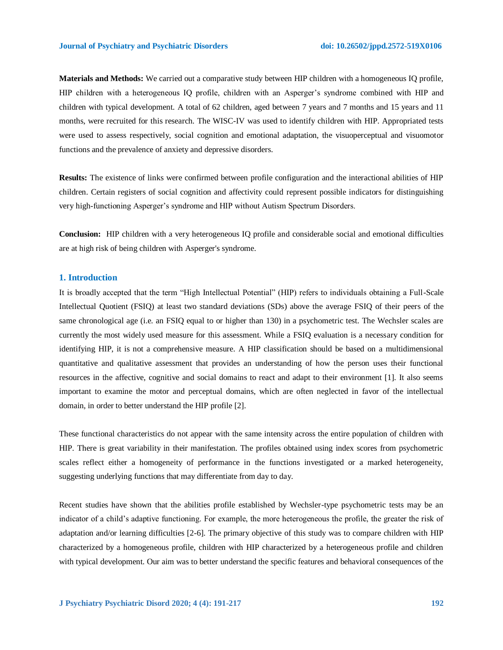**Materials and Methods:** We carried out a comparative study between HIP children with a homogeneous IQ profile, HIP children with a heterogeneous IQ profile, children with an Asperger's syndrome combined with HIP and children with typical development. A total of 62 children, aged between 7 years and 7 months and 15 years and 11 months, were recruited for this research. The WISC-IV was used to identify children with HIP. Appropriated tests were used to assess respectively, social cognition and emotional adaptation, the visuoperceptual and visuomotor functions and the prevalence of anxiety and depressive disorders.

**Results:** The existence of links were confirmed between profile configuration and the interactional abilities of HIP children. Certain registers of social cognition and affectivity could represent possible indicators for distinguishing very high-functioning Asperger's syndrome and HIP without Autism Spectrum Disorders.

**Conclusion:** HIP children with a very heterogeneous IQ profile and considerable social and emotional difficulties are at high risk of being children with Asperger's syndrome.

### **1. Introduction**

It is broadly accepted that the term "High Intellectual Potential" (HIP) refers to individuals obtaining a Full-Scale Intellectual Quotient (FSIQ) at least two standard deviations (SDs) above the average FSIQ of their peers of the same chronological age (i.e. an FSIQ equal to or higher than 130) in a psychometric test. The Wechsler scales are currently the most widely used measure for this assessment. While a FSIQ evaluation is a necessary condition for identifying HIP, it is not a comprehensive measure. A HIP classification should be based on a multidimensional quantitative and qualitative assessment that provides an understanding of how the person uses their functional resources in the affective, cognitive and social domains to react and adapt to their environment [1]. It also seems important to examine the motor and perceptual domains, which are often neglected in favor of the intellectual domain, in order to better understand the HIP profile [2].

These functional characteristics do not appear with the same intensity across the entire population of children with HIP. There is great variability in their manifestation. The profiles obtained using index scores from psychometric scales reflect either a homogeneity of performance in the functions investigated or a marked heterogeneity, suggesting underlying functions that may differentiate from day to day.

Recent studies have shown that the abilities profile established by Wechsler-type psychometric tests may be an indicator of a child's adaptive functioning. For example, the more heterogeneous the profile, the greater the risk of adaptation and/or learning difficulties [2-6]. The primary objective of this study was to compare children with HIP characterized by a homogeneous profile, children with HIP characterized by a heterogeneous profile and children with typical development. Our aim was to better understand the specific features and behavioral consequences of the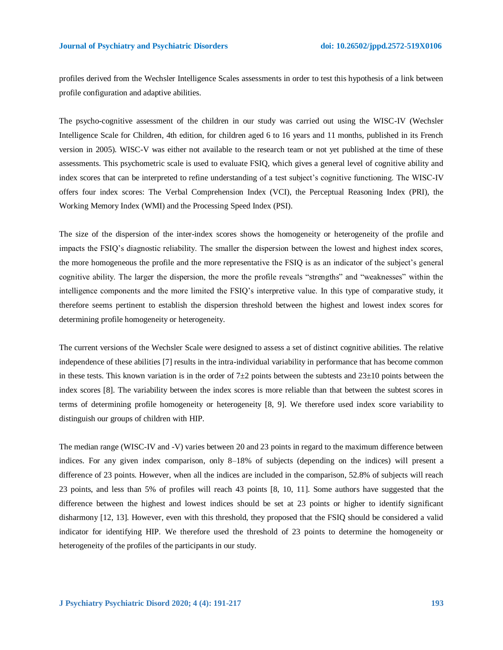profiles derived from the Wechsler Intelligence Scales assessments in order to test this hypothesis of a link between profile configuration and adaptive abilities.

The psycho-cognitive assessment of the children in our study was carried out using the WISC-IV (Wechsler Intelligence Scale for Children, 4th edition, for children aged 6 to 16 years and 11 months, published in its French version in 2005). WISC-V was either not available to the research team or not yet published at the time of these assessments. This psychometric scale is used to evaluate FSIQ, which gives a general level of cognitive ability and index scores that can be interpreted to refine understanding of a test subject's cognitive functioning. The WISC-IV offers four index scores: The Verbal Comprehension Index (VCI), the Perceptual Reasoning Index (PRI), the Working Memory Index (WMI) and the Processing Speed Index (PSI).

The size of the dispersion of the inter-index scores shows the homogeneity or heterogeneity of the profile and impacts the FSIQ's diagnostic reliability. The smaller the dispersion between the lowest and highest index scores, the more homogeneous the profile and the more representative the FSIQ is as an indicator of the subject's general cognitive ability. The larger the dispersion, the more the profile reveals "strengths" and "weaknesses" within the intelligence components and the more limited the FSIQ's interpretive value. In this type of comparative study, it therefore seems pertinent to establish the dispersion threshold between the highest and lowest index scores for determining profile homogeneity or heterogeneity.

The current versions of the Wechsler Scale were designed to assess a set of distinct cognitive abilities. The relative independence of these abilities [7] results in the intra-individual variability in performance that has become common in these tests. This known variation is in the order of  $7\pm2$  points between the subtests and  $23\pm10$  points between the index scores [8]. The variability between the index scores is more reliable than that between the subtest scores in terms of determining profile homogeneity or heterogeneity [8, 9]. We therefore used index score variability to distinguish our groups of children with HIP.

The median range (WISC-IV and -V) varies between 20 and 23 points in regard to the maximum difference between indices. For any given index comparison, only 8–18% of subjects (depending on the indices) will present a difference of 23 points. However, when all the indices are included in the comparison, 52.8% of subjects will reach 23 points, and less than 5% of profiles will reach 43 points [8, 10, 11]. Some authors have suggested that the difference between the highest and lowest indices should be set at 23 points or higher to identify significant disharmony [12, 13]. However, even with this threshold, they proposed that the FSIQ should be considered a valid indicator for identifying HIP. We therefore used the threshold of 23 points to determine the homogeneity or heterogeneity of the profiles of the participants in our study.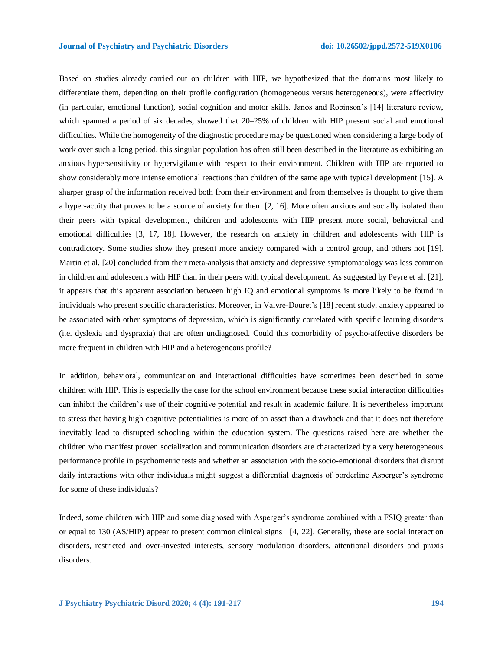Based on studies already carried out on children with HIP, we hypothesized that the domains most likely to differentiate them, depending on their profile configuration (homogeneous versus heterogeneous), were affectivity (in particular, emotional function), social cognition and motor skills. Janos and Robinson's [14] literature review, which spanned a period of six decades, showed that 20–25% of children with HIP present social and emotional difficulties. While the homogeneity of the diagnostic procedure may be questioned when considering a large body of work over such a long period, this singular population has often still been described in the literature as exhibiting an anxious hypersensitivity or hypervigilance with respect to their environment. Children with HIP are reported to show considerably more intense emotional reactions than children of the same age with typical development [15]. A sharper grasp of the information received both from their environment and from themselves is thought to give them a hyper-acuity that proves to be a source of anxiety for them [2, 16]. More often anxious and socially isolated than their peers with typical development, children and adolescents with HIP present more social, behavioral and emotional difficulties [3, 17, 18]. However, the research on anxiety in children and adolescents with HIP is contradictory. Some studies show they present more anxiety compared with a control group, and others not [19]. Martin et al. [20] concluded from their meta-analysis that anxiety and depressive symptomatology was less common in children and adolescents with HIP than in their peers with typical development. As suggested by Peyre et al. [21], it appears that this apparent association between high IQ and emotional symptoms is more likely to be found in individuals who present specific characteristics. Moreover, in Vaivre-Douret's [18] recent study, anxiety appeared to be associated with other symptoms of depression, which is significantly correlated with specific learning disorders (i.e. dyslexia and dyspraxia) that are often undiagnosed. Could this comorbidity of psycho-affective disorders be more frequent in children with HIP and a heterogeneous profile?

In addition, behavioral, communication and interactional difficulties have sometimes been described in some children with HIP. This is especially the case for the school environment because these social interaction difficulties can inhibit the children's use of their cognitive potential and result in academic failure. It is nevertheless important to stress that having high cognitive potentialities is more of an asset than a drawback and that it does not therefore inevitably lead to disrupted schooling within the education system. The questions raised here are whether the children who manifest proven socialization and communication disorders are characterized by a very heterogeneous performance profile in psychometric tests and whether an association with the socio-emotional disorders that disrupt daily interactions with other individuals might suggest a differential diagnosis of borderline Asperger's syndrome for some of these individuals?

Indeed, some children with HIP and some diagnosed with Asperger's syndrome combined with a FSIQ greater than or equal to 130 (AS/HIP) appear to present common clinical signs [4, 22]. Generally, these are social interaction disorders, restricted and over-invested interests, sensory modulation disorders, attentional disorders and praxis disorders.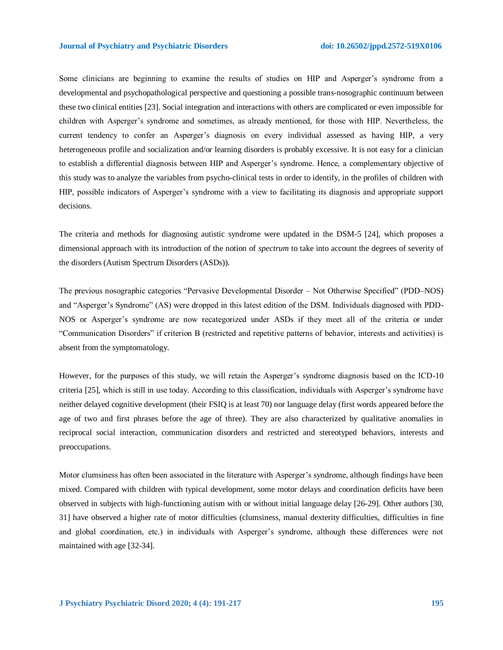Some clinicians are beginning to examine the results of studies on HIP and Asperger's syndrome from a developmental and psychopathological perspective and questioning a possible trans-nosographic continuum between these two clinical entities [23]. Social integration and interactions with others are complicated or even impossible for children with Asperger's syndrome and sometimes, as already mentioned, for those with HIP. Nevertheless, the current tendency to confer an Asperger's diagnosis on every individual assessed as having HIP, a very heterogeneous profile and socialization and/or learning disorders is probably excessive. It is not easy for a clinician to establish a differential diagnosis between HIP and Asperger's syndrome. Hence, a complementary objective of this study was to analyze the variables from psycho-clinical tests in order to identify, in the profiles of children with HIP, possible indicators of Asperger's syndrome with a view to facilitating its diagnosis and appropriate support decisions.

The criteria and methods for diagnosing autistic syndrome were updated in the DSM-5 [24], which proposes a dimensional approach with its introduction of the notion of *spectrum* to take into account the degrees of severity of the disorders (Autism Spectrum Disorders (ASDs)).

The previous nosographic categories "Pervasive Developmental Disorder – Not Otherwise Specified" (PDD–NOS) and "Asperger's Syndrome" (AS) were dropped in this latest edition of the DSM. Individuals diagnosed with PDD-NOS or Asperger's syndrome are now recategorized under ASDs if they meet all of the criteria or under "Communication Disorders" if criterion B (restricted and repetitive patterns of behavior, interests and activities) is absent from the symptomatology.

However, for the purposes of this study, we will retain the Asperger's syndrome diagnosis based on the ICD-10 criteria [25], which is still in use today. According to this classification, individuals with Asperger's syndrome have neither delayed cognitive development (their FSIQ is at least 70) nor language delay (first words appeared before the age of two and first phrases before the age of three). They are also characterized by qualitative anomalies in reciprocal social interaction, communication disorders and restricted and stereotyped behaviors, interests and preoccupations.

Motor clumsiness has often been associated in the literature with Asperger's syndrome, although findings have been mixed. Compared with children with typical development, some motor delays and coordination deficits have been observed in subjects with high-functioning autism with or without initial language delay [26-29]. Other authors [30, 31] have observed a higher rate of motor difficulties (clumsiness, manual dexterity difficulties, difficulties in fine and global coordination, etc.) in individuals with Asperger's syndrome, although these differences were not maintained with age [32-34].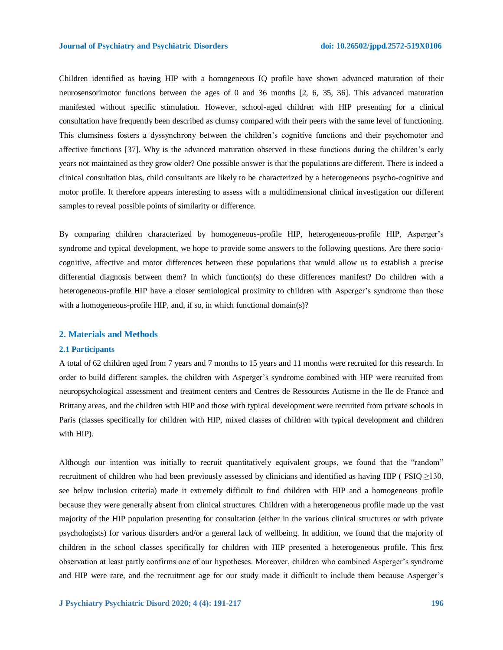Children identified as having HIP with a homogeneous IQ profile have shown advanced maturation of their neurosensorimotor functions between the ages of 0 and 36 months [2, 6, 35, 36]. This advanced maturation manifested without specific stimulation. However, school**-**aged children with HIP presenting for a clinical consultation have frequently been described as clumsy compared with their peers with the same level of functioning. This clumsiness fosters a dyssynchrony between the children's cognitive functions and their psychomotor and affective functions [37]. Why is the advanced maturation observed in these functions during the children's early years not maintained as they grow older? One possible answer is that the populations are different. There is indeed a clinical consultation bias, child consultants are likely to be characterized by a heterogeneous psycho-cognitive and motor profile. It therefore appears interesting to assess with a multidimensional clinical investigation our different samples to reveal possible points of similarity or difference.

By comparing children characterized by homogeneous-profile HIP, heterogeneous-profile HIP, Asperger's syndrome and typical development, we hope to provide some answers to the following questions. Are there sociocognitive, affective and motor differences between these populations that would allow us to establish a precise differential diagnosis between them? In which function(s) do these differences manifest? Do children with a heterogeneous-profile HIP have a closer semiological proximity to children with Asperger's syndrome than those with a homogeneous-profile HIP, and, if so, in which functional domain(s)?

### **2. Materials and Methods**

#### **2.1 Participants**

A total of 62 children aged from 7 years and 7 months to 15 years and 11 months were recruited for this research. In order to build different samples, the children with Asperger's syndrome combined with HIP were recruited from neuropsychological assessment and treatment centers and Centres de Ressources Autisme in the Ile de France and Brittany areas, and the children with HIP and those with typical development were recruited from private schools in Paris (classes specifically for children with HIP, mixed classes of children with typical development and children with HIP).

Although our intention was initially to recruit quantitatively equivalent groups, we found that the "random" recruitment of children who had been previously assessed by clinicians and identified as having HIP ( FSIQ ≥130, see below inclusion criteria) made it extremely difficult to find children with HIP and a homogeneous profile because they were generally absent from clinical structures. Children with a heterogeneous profile made up the vast majority of the HIP population presenting for consultation (either in the various clinical structures or with private psychologists) for various disorders and/or a general lack of wellbeing. In addition, we found that the majority of children in the school classes specifically for children with HIP presented a heterogeneous profile. This first observation at least partly confirms one of our hypotheses. Moreover, children who combined Asperger's syndrome and HIP were rare, and the recruitment age for our study made it difficult to include them because Asperger's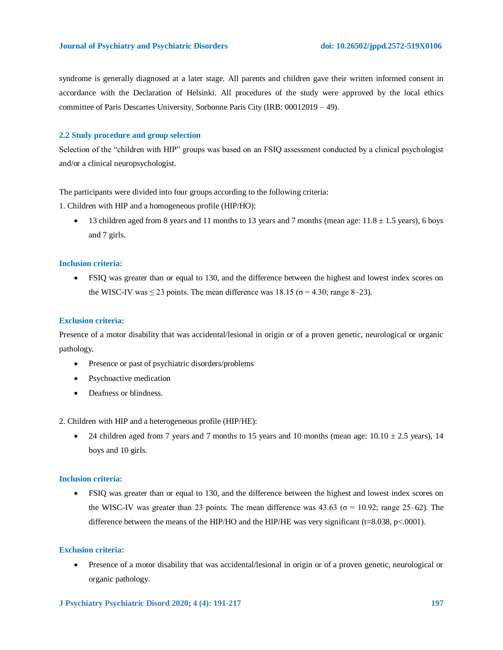syndrome is generally diagnosed at a later stage. All parents and children gave their written informed consent in accordance with the Declaration of Helsinki. All procedures of the study were approved by the local ethics committee of Paris Descartes University, Sorbonne Paris City (IRB: 00012019 – 49).

### **2.2 Study procedure and group selection**

Selection of the "children with HIP" groups was based on an FSIQ assessment conducted by a clinical psychologist and/or a clinical neuropsychologist.

The participants were divided into four groups according to the following criteria:

1. Children with HIP and a homogeneous profile (HIP/HO):

13 children aged from 8 years and 11 months to 13 years and 7 months (mean age:  $11.8 \pm 1.5$  years), 6 boys and 7 girls.

### **Inclusion criteria:**

 FSIQ was greater than or equal to 130, and the difference between the highest and lowest index scores on the WISC-IV was  $\leq$  23 points. The mean difference was 18.15 ( $\sigma$  = 4.30; range 8–23).

# **Exclusion criteria:**

Presence of a motor disability that was accidental/lesional in origin or of a proven genetic, neurological or organic pathology.

- Presence or past of psychiatric disorders/problems
- Psychoactive medication
- Deafness or blindness.

2. Children with HIP and a heterogeneous profile (HIP/HE):

• 24 children aged from 7 years and 7 months to 15 years and 10 months (mean age:  $10.10 \pm 2.5$  years), 14 boys and 10 girls.

#### **Inclusion criteria:**

 FSIQ was greater than or equal to 130, and the difference between the highest and lowest index scores on the WISC-IV was greater than 23 points. The mean difference was 43.63 ( $\sigma$  = 10.92; range 25–62). The difference between the means of the HIP/HO and the HIP/HE was very significant (t=8.038, p<.0001).

### **Exclusion criteria:**

 Presence of a motor disability that was accidental/lesional in origin or of a proven genetic, neurological or organic pathology.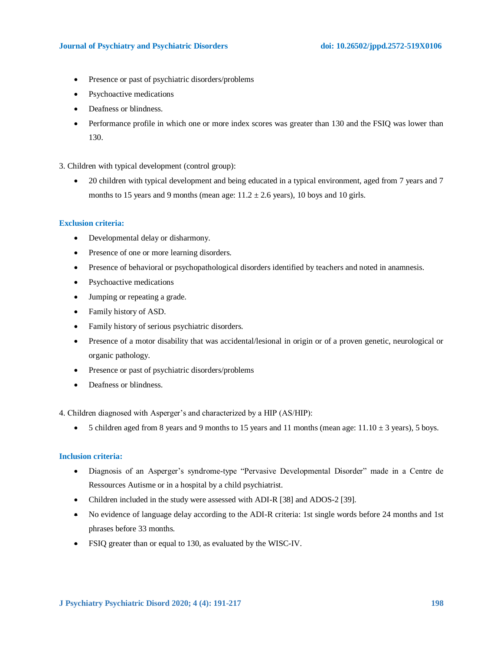### **Journal of Psychiatry and Psychiatric Disorders doi: 10.26502/jppd.2572-519X0106**

- Presence or past of psychiatric disorders/problems
- Psychoactive medications
- Deafness or blindness.
- Performance profile in which one or more index scores was greater than 130 and the FSIQ was lower than 130.

3. Children with typical development (control group):

• 20 children with typical development and being educated in a typical environment, aged from 7 years and 7 months to 15 years and 9 months (mean age:  $11.2 \pm 2.6$  years), 10 boys and 10 girls.

### **Exclusion criteria:**

- Developmental delay or disharmony.
- Presence of one or more learning disorders.
- Presence of behavioral or psychopathological disorders identified by teachers and noted in anamnesis.
- Psychoactive medications
- Jumping or repeating a grade.
- Family history of ASD.
- Family history of serious psychiatric disorders.
- Presence of a motor disability that was accidental/lesional in origin or of a proven genetic, neurological or organic pathology.
- Presence or past of psychiatric disorders/problems
- Deafness or blindness.

4. Children diagnosed with Asperger's and characterized by a HIP (AS/HIP):

• 5 children aged from 8 years and 9 months to 15 years and 11 months (mean age:  $11.10 \pm 3$  years), 5 boys.

# **Inclusion criteria:**

- Diagnosis of an Asperger's syndrome-type "Pervasive Developmental Disorder" made in a Centre de Ressources Autisme or in a hospital by a child psychiatrist.
- Children included in the study were assessed with ADI-R [38] and ADOS-2 [39].
- No evidence of language delay according to the ADI-R criteria: 1st single words before 24 months and 1st phrases before 33 months.
- FSIQ greater than or equal to 130, as evaluated by the WISC-IV.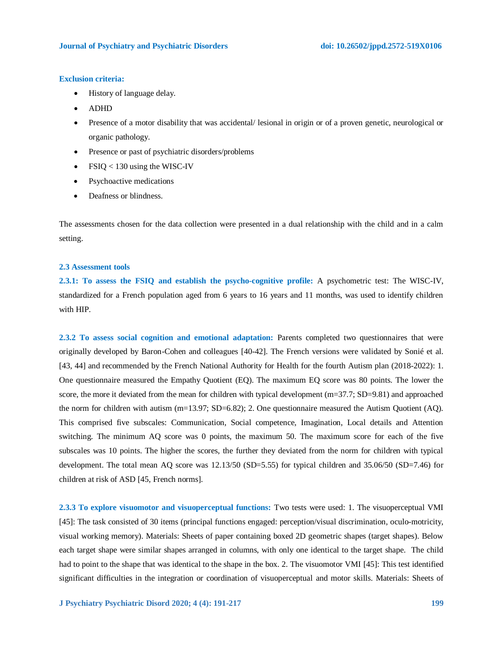### **Exclusion criteria:**

- History of language delay.
- ADHD
- Presence of a motor disability that was accidental/ lesional in origin or of a proven genetic, neurological or organic pathology.
- Presence or past of psychiatric disorders/problems
- FSIQ < 130 using the WISC-IV
- Psychoactive medications
- Deafness or blindness.

The assessments chosen for the data collection were presented in a dual relationship with the child and in a calm setting.

### **2.3 Assessment tools**

**2.3.1: To assess the FSIQ and establish the psycho-cognitive profile:** A psychometric test: The WISC-IV, standardized for a French population aged from 6 years to 16 years and 11 months, was used to identify children with HIP.

**2.3.2 To assess social cognition and emotional adaptation:** Parents completed two questionnaires that were originally developed by Baron-Cohen and colleagues [40-42]. The French versions were validated by Sonié et al. [43, 44] and recommended by the French National Authority for Health for the fourth Autism plan (2018-2022): 1. One questionnaire measured the Empathy Quotient (EQ). The maximum EQ score was 80 points. The lower the score, the more it deviated from the mean for children with typical development (m=37.7; SD=9.81) and approached the norm for children with autism (m=13.97; SD=6.82); 2. One questionnaire measured the Autism Quotient (AQ). This comprised five subscales: Communication, Social competence, Imagination, Local details and Attention switching. The minimum AQ score was 0 points, the maximum 50. The maximum score for each of the five subscales was 10 points. The higher the scores, the further they deviated from the norm for children with typical development. The total mean AQ score was 12.13/50 (SD=5.55) for typical children and 35.06/50 (SD=7.46) for children at risk of ASD [45, French norms].

**2.3.3 To explore visuomotor and visuoperceptual functions:** Two tests were used: 1. The visuoperceptual VMI [45]: The task consisted of 30 items (principal functions engaged: perception/visual discrimination, oculo-motricity, visual working memory). Materials: Sheets of paper containing boxed 2D geometric shapes (target shapes). Below each target shape were similar shapes arranged in columns, with only one identical to the target shape. The child had to point to the shape that was identical to the shape in the box. 2. The visuomotor VMI [45]: This test identified significant difficulties in the integration or coordination of visuoperceptual and motor skills. Materials: Sheets of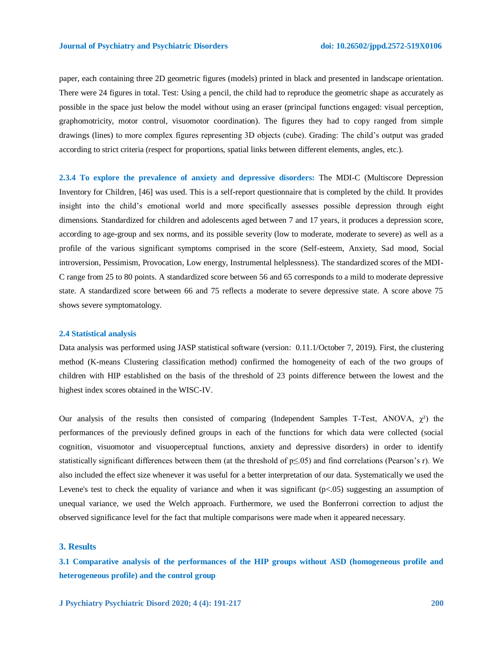paper, each containing three 2D geometric figures (models) printed in black and presented in landscape orientation. There were 24 figures in total. Test: Using a pencil, the child had to reproduce the geometric shape as accurately as possible in the space just below the model without using an eraser (principal functions engaged: visual perception, graphomotricity, motor control, visuomotor coordination). The figures they had to copy ranged from simple drawings (lines) to more complex figures representing 3D objects (cube). Grading: The child's output was graded according to strict criteria (respect for proportions, spatial links between different elements, angles, etc.).

**2.3.4 To explore the prevalence of anxiety and depressive disorders:** The MDI-C (Multiscore Depression Inventory for Children, [46] was used. This is a self-report questionnaire that is completed by the child. It provides insight into the child's emotional world and more specifically assesses possible depression through eight dimensions. Standardized for children and adolescents aged between 7 and 17 years, it produces a depression score, according to age-group and sex norms, and its possible severity (low to moderate, moderate to severe) as well as a profile of the various significant symptoms comprised in the score (Self-esteem, Anxiety, Sad mood, Social introversion, Pessimism, Provocation, Low energy, Instrumental helplessness). The standardized scores of the MDI-C range from 25 to 80 points. A standardized score between 56 and 65 corresponds to a mild to moderate depressive state. A standardized score between 66 and 75 reflects a moderate to severe depressive state. A score above 75 shows severe symptomatology.

#### **2.4 Statistical analysis**

Data analysis was performed using JASP statistical software (version: 0.11.1/October 7, 2019). First, the clustering method (K-means Clustering classification method) confirmed the homogeneity of each of the two groups of children with HIP established on the basis of the threshold of 23 points difference between the lowest and the highest index scores obtained in the WISC-IV.

Our analysis of the results then consisted of comparing (Independent Samples T-Test, ANOVA,  $\gamma^2$ ) the performances of the previously defined groups in each of the functions for which data were collected (social cognition, visuomotor and visuoperceptual functions, anxiety and depressive disorders) in order to identify statistically significant differences between them (at the threshold of  $p \le 0.05$ ) and find correlations (Pearson's r). We also included the effect size whenever it was useful for a better interpretation of our data. Systematically we used the Levene's test to check the equality of variance and when it was significant (p<.05) suggesting an assumption of unequal variance, we used the Welch approach. Furthermore, we used the Bonferroni correction to adjust the observed significance level for the fact that multiple comparisons were made when it appeared necessary.

### **3. Results**

**3.1 Comparative analysis of the performances of the HIP groups without ASD (homogeneous profile and heterogeneous profile) and the control group**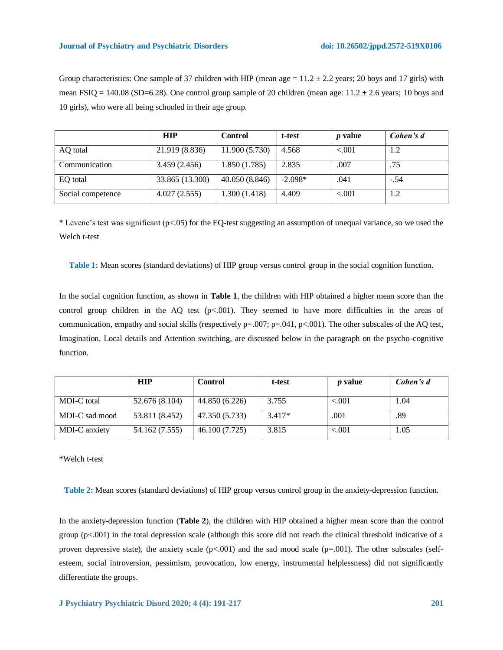| Group characteristics: One sample of 37 children with HIP (mean age = $11.2 \pm 2.2$ years; 20 boys and 17 girls) with |
|------------------------------------------------------------------------------------------------------------------------|
| mean FSIQ = 140.08 (SD=6.28). One control group sample of 20 children (mean age: 11.2 $\pm$ 2.6 years; 10 boys and     |
| 10 girls), who were all being schooled in their age group.                                                             |

|                   | <b>HIP</b>      | <b>Control</b> | t-test    | <i>p</i> value | Cohen's d |
|-------------------|-----------------|----------------|-----------|----------------|-----------|
| AO total          | 21.919 (8.836)  | 11.900 (5.730) | 4.568     | ${<}001$       |           |
| Communication     | 3.459(2.456)    | 1.850(1.785)   | 2.835     | .007           | .75       |
| EQ total          | 33.865 (13.300) | 40.050 (8.846) | $-2.098*$ | .041           | $-.54$    |
| Social competence | 4.027(2.555)    | 1.300(1.418)   | 4.409     | < 0.001        |           |

\* Levene's test was significant ( $p<0.05$ ) for the EQ-test suggesting an assumption of unequal variance, so we used the Welch t-test

**Table 1:** Mean scores (standard deviations) of HIP group versus control group in the social cognition function.

In the social cognition function, as shown in **Table 1**, the children with HIP obtained a higher mean score than the control group children in the  $AQ$  test (p<.001). They seemed to have more difficulties in the areas of communication, empathy and social skills (respectively  $p=.007$ ;  $p=.041$ ,  $p<.001$ ). The other subscales of the AQ test, Imagination, Local details and Attention switching, are discussed below in the paragraph on the psycho-cognitive function.

|                | <b>HIP</b>     | <b>Control</b> | t-test   | <i>p</i> value | Cohen's d |
|----------------|----------------|----------------|----------|----------------|-----------|
| MDI-C total    | 52.676 (8.104) | 44.850 (6.226) | 3.755    | ${<}001$       | 1.04      |
| MDI-C sad mood | 53.811 (8.452) | 47.350 (5.733) | $3.417*$ | .001           | .89       |
| MDI-C anxiety  | 54.162 (7.555) | 46.100 (7.725) | 3.815    | ${<}001$       | 1.05      |

\*Welch t-test

**Table 2:** Mean scores (standard deviations) of HIP group versus control group in the anxiety-depression function.

In the anxiety-depression function (**Table 2**), the children with HIP obtained a higher mean score than the control group (p<.001) in the total depression scale (although this score did not reach the clinical threshold indicative of a proven depressive state), the anxiety scale  $(p<.001)$  and the sad mood scale  $(p=.001)$ . The other subscales (selfesteem, social introversion, pessimism, provocation, low energy, instrumental helplessness) did not significantly differentiate the groups.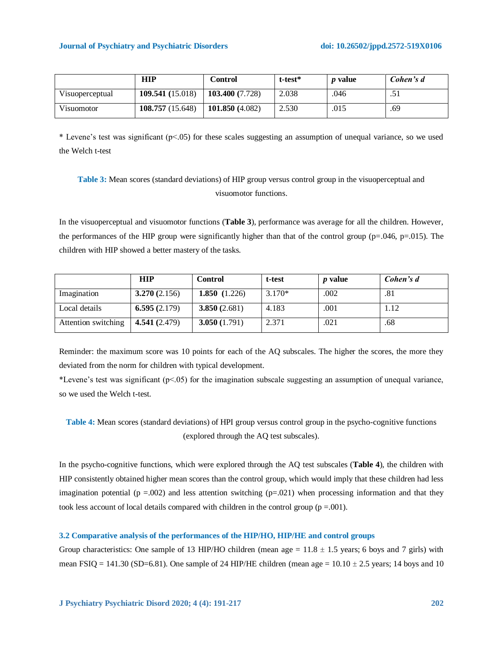|                 | HIP              | Control         | $t$ -test $*$ | <i>p</i> value | Cohen's d |
|-----------------|------------------|-----------------|---------------|----------------|-----------|
| Visuoperceptual | 109.541 (15.018) | 103.400 (7.728) | 2.038         | .046           |           |
| Visuomotor      | 108.757 (15.648) | 101.850(4.082)  | 2.530         | .015           | .69       |

\* Levene's test was significant (p<.05) for these scales suggesting an assumption of unequal variance, so we used the Welch t-test

# **Table 3:** Mean scores (standard deviations) of HIP group versus control group in the visuoperceptual and visuomotor functions.

In the visuoperceptual and visuomotor functions (**Table 3**), performance was average for all the children. However, the performances of the HIP group were significantly higher than that of the control group ( $p=0.046$ ,  $p=0.015$ ). The children with HIP showed a better mastery of the tasks.

|                     | <b>HIP</b>      | <b>Control</b>  | t-test   | <i>p</i> value | Cohen's d |
|---------------------|-----------------|-----------------|----------|----------------|-----------|
| Imagination         | 3.270(2.156)    | 1.850 $(1.226)$ | $3.170*$ | .002           | .81       |
| Local details       | 6.595 $(2.179)$ | 3.850(2.681)    | 4.183    | .001           | 1.12      |
| Attention switching | 4.541 (2.479)   | 3.050(1.791)    | 2.371    | .021           | .68       |

Reminder: the maximum score was 10 points for each of the AQ subscales. The higher the scores, the more they deviated from the norm for children with typical development.

\*Levene's test was significant  $(p<0.05)$  for the imagination subscale suggesting an assumption of unequal variance, so we used the Welch t-test.

# **Table 4:** Mean scores (standard deviations) of HPI group versus control group in the psycho-cognitive functions (explored through the AQ test subscales).

In the psycho-cognitive functions, which were explored through the AQ test subscales (**Table 4**), the children with HIP consistently obtained higher mean scores than the control group, which would imply that these children had less imagination potential ( $p = .002$ ) and less attention switching ( $p = .021$ ) when processing information and that they took less account of local details compared with children in the control group ( $p = .001$ ).

#### **3.2 Comparative analysis of the performances of the HIP/HO, HIP/HE and control groups**

Group characteristics: One sample of 13 HIP/HO children (mean age =  $11.8 \pm 1.5$  years; 6 boys and 7 girls) with mean FSIQ = 141.30 (SD=6.81). One sample of 24 HIP/HE children (mean age =  $10.10 \pm 2.5$  years; 14 boys and 10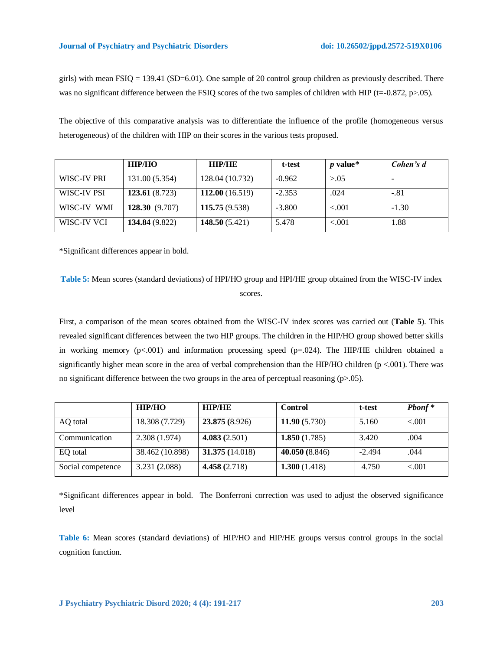girls) with mean FSIQ = 139.41 (SD=6.01). One sample of 20 control group children as previously described. There was no significant difference between the FSIQ scores of the two samples of children with HIP (t=-0.872, p>.05).

The objective of this comparative analysis was to differentiate the influence of the profile (homogeneous versus heterogeneous) of the children with HIP on their scores in the various tests proposed.

|             | <b>HIP/HO</b>  | <b>HIP/HE</b>   | t-test   | $p$ value* | Cohen's d |
|-------------|----------------|-----------------|----------|------------|-----------|
| WISC-IV PRI | 131.00 (5.354) | 128.04 (10.732) | $-0.962$ | > 0.05     |           |
| WISC-IV PSI | 123.61(8.723)  | 112.00(16.519)  | $-2.353$ | .024       | $-.81$    |
| WISC-IV WMI | 128.30(9.707)  | 115.75(9.538)   | $-3.800$ | < 0.001    | $-1.30$   |
| WISC-IV VCI | 134.84 (9.822) | 148.50(5.421)   | 5.478    | < 0.01     | 1.88      |

\*Significant differences appear in bold.

```
Table 5: Mean scores (standard deviations) of HPI/HO group and HPI/HE group obtained from the WISC-IV index 
                                       scores.
```
First, a comparison of the mean scores obtained from the WISC-IV index scores was carried out (**Table 5**). This revealed significant differences between the two HIP groups. The children in the HIP/HO group showed better skills in working memory  $(p<.001)$  and information processing speed  $(p=.024)$ . The HIP/HE children obtained a significantly higher mean score in the area of verbal comprehension than the HIP/HO children (p <.001). There was no significant difference between the two groups in the area of perceptual reasoning  $(p>0.05)$ .

|                   | <b>HIP/HO</b>   | <b>HIP/HE</b>   | <b>Control</b>  | t-test   | $Pbonf*$ |
|-------------------|-----------------|-----------------|-----------------|----------|----------|
| AQ total          | 18.308 (7.729)  | 23.875 (8.926)  | 11.90 $(5.730)$ | 5.160    | < 0.001  |
| Communication     | 2.308(1.974)    | 4.083(2.501)    | 1.850 $(1.785)$ | 3.420    | .004     |
| EO total          | 38.462 (10.898) | 31.375 (14.018) | 40.050 (8.846)  | $-2.494$ | .044     |
| Social competence | 3.231 (2.088)   | 4.458 $(2.718)$ | 1.300(1.418)    | 4.750    | < 0.001  |

\*Significant differences appear in bold. The Bonferroni correction was used to adjust the observed significance level

**Table 6:** Mean scores (standard deviations) of HIP/HO and HIP/HE groups versus control groups in the social cognition function.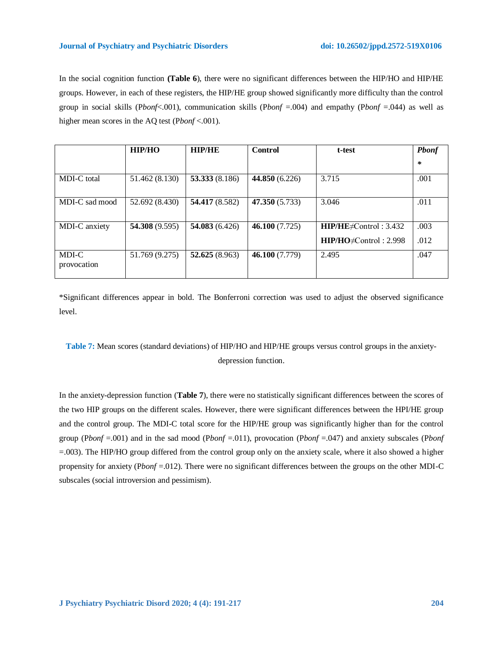### **Journal of Psychiatry and Psychiatric Disorders doi: 10.26502/jppd.2572-519X0106**

In the social cognition function **(Table 6**), there were no significant differences between the HIP/HO and HIP/HE groups. However, in each of these registers, the HIP/HE group showed significantly more difficulty than the control group in social skills (P*bonf*<.001), communication skills (P*bonf* =.004) and empathy (P*bonf* =.044) as well as higher mean scores in the AQ test (P*bonf* <.001).

|                      | HIP/HO         | <b>HIP/HE</b>    | <b>Control</b> | t-test                                                       | <b>Pbonf</b> |
|----------------------|----------------|------------------|----------------|--------------------------------------------------------------|--------------|
|                      |                |                  |                |                                                              | $\ast$       |
| MDI-C total          | 51.462 (8.130) | 53.333 $(8.186)$ | 44.850 (6.226) | 3.715                                                        | .001         |
| MDI-C sad mood       | 52.692 (8.430) | 54.417 (8.582)   | 47.350 (5.733) | 3.046                                                        | .011         |
| MDI-C anxiety        | 54.308(9.595)  | 54.083(6.426)    | 46.100(7.725)  | $HIP/HE \neq Control: 3.432$<br>$HP/HO \neq Control : 2.998$ | .003<br>.012 |
| MDI-C<br>provocation | 51.769 (9.275) | 52.625 $(8.963)$ | 46.100 (7.779) | 2.495                                                        | .047         |

\*Significant differences appear in bold. The Bonferroni correction was used to adjust the observed significance level.

# **Table 7:** Mean scores (standard deviations) of HIP/HO and HIP/HE groups versus control groups in the anxietydepression function.

In the anxiety-depression function (**Table 7**), there were no statistically significant differences between the scores of the two HIP groups on the different scales. However, there were significant differences between the HPI/HE group and the control group. The MDI-C total score for the HIP/HE group was significantly higher than for the control group (P*bonf* =.001) and in the sad mood (P*bonf* =.011), provocation (P*bonf* =.047) and anxiety subscales (P*bonf*  =.003). The HIP/HO group differed from the control group only on the anxiety scale, where it also showed a higher propensity for anxiety (P*bonf* =.012). There were no significant differences between the groups on the other MDI-C subscales (social introversion and pessimism).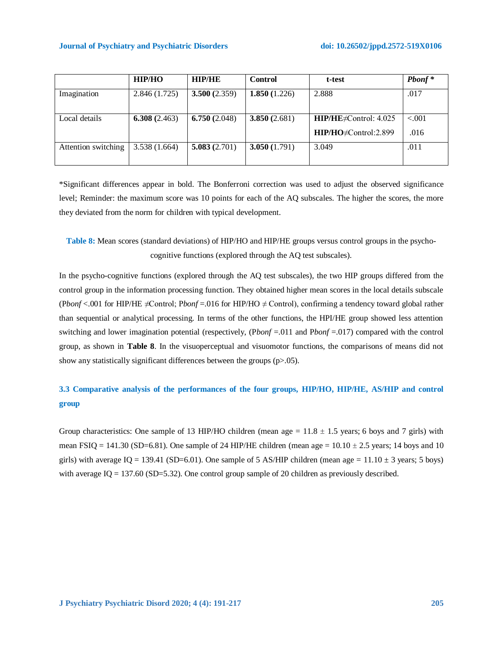|                     | HIP/HO          | <b>HIP/HE</b>   | Control      | t-test                      | $Pbonf*$ |
|---------------------|-----------------|-----------------|--------------|-----------------------------|----------|
| Imagination         | 2.846(1.725)    | 3.500(2.359)    | 1.850(1.226) | 2.888                       | .017     |
|                     |                 |                 |              |                             |          |
| Local details       | 6.308 $(2.463)$ | 6.750 $(2.048)$ | 3.850(2.681) | $HP/HE \neq Control: 4.025$ | < 0.001  |
|                     |                 |                 |              | HIP/HO#Control:2.899        | .016     |
| Attention switching | 3.538(1.664)    | 5.083(2.701)    | 3.050(1.791) | 3.049                       | .011     |
|                     |                 |                 |              |                             |          |

\*Significant differences appear in bold. The Bonferroni correction was used to adjust the observed significance level; Reminder: the maximum score was 10 points for each of the AQ subscales. The higher the scores, the more they deviated from the norm for children with typical development.

**Table 8:** Mean scores (standard deviations) of HIP/HO and HIP/HE groups versus control groups in the psychocognitive functions (explored through the AQ test subscales).

In the psycho-cognitive functions (explored through the AQ test subscales), the two HIP groups differed from the control group in the information processing function. They obtained higher mean scores in the local details subscale (P*bonf* <.001 for HIP/HE  $\neq$ Control; P*bonf* =.016 for HIP/HO  $\neq$  Control), confirming a tendency toward global rather than sequential or analytical processing. In terms of the other functions, the HPI/HE group showed less attention switching and lower imagination potential (respectively, (P*bonf* =.011 and P*bonf* =.017) compared with the control group, as shown in **Table 8**. In the visuoperceptual and visuomotor functions, the comparisons of means did not show any statistically significant differences between the groups (p>.05).

# **3.3 Comparative analysis of the performances of the four groups, HIP/HO, HIP/HE, AS/HIP and control group**

Group characteristics: One sample of 13 HIP/HO children (mean age =  $11.8 \pm 1.5$  years; 6 boys and 7 girls) with mean FSIQ = 141.30 (SD=6.81). One sample of 24 HIP/HE children (mean age =  $10.10 \pm 2.5$  years; 14 boys and 10 girls) with average IQ = 139.41 (SD=6.01). One sample of 5 AS/HIP children (mean age =  $11.10 \pm 3$  years; 5 boys) with average  $IQ = 137.60$  (SD=5.32). One control group sample of 20 children as previously described.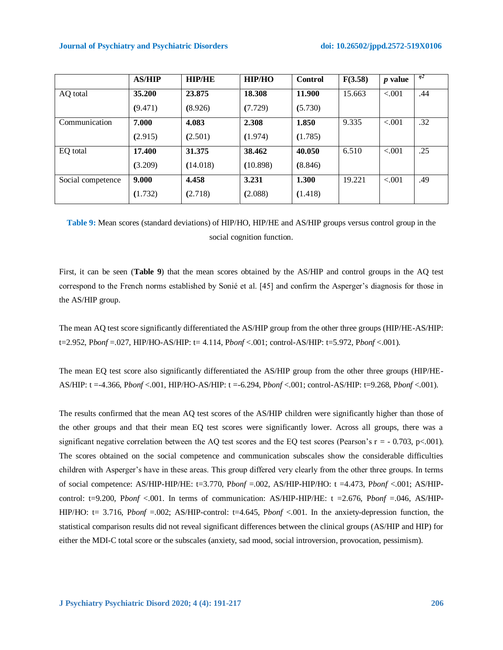#### **Journal of Psychiatry and Psychiatric Disorders doi: 10.26502/jppd.2572-519X0106**

|                   | <b>AS/HIP</b> | <b>HIP/HE</b> | <b>HIP/HO</b> | Control | F(3.58) | <i>p</i> value | n <sub>2</sub> |
|-------------------|---------------|---------------|---------------|---------|---------|----------------|----------------|
| AQ total          | 35.200        | 23.875        | 18.308        | 11.900  | 15.663  | < 0.001        | .44            |
|                   | (9.471)       | (8.926)       | (7.729)       | (5.730) |         |                |                |
| Communication     | 7.000         | 4.083         | 2.308         | 1.850   | 9.335   | $-.001$        | .32            |
|                   | (2.915)       | (2.501)       | (1.974)       | (1.785) |         |                |                |
| EO total          | 17.400        | 31.375        | 38.462        | 40.050  | 6.510   | < 0.001        | .25            |
|                   | (3.209)       | (14.018)      | (10.898)      | (8.846) |         |                |                |
| Social competence | 9.000         | 4.458         | 3.231         | 1.300   | 19.221  | < 0.001        | .49            |
|                   | (1.732)       | (2.718)       | (2.088)       | (1.418) |         |                |                |

# **Table 9:** Mean scores (standard deviations) of HIP/HO, HIP/HE and AS/HIP groups versus control group in the social cognition function.

First, it can be seen (**Table 9**) that the mean scores obtained by the AS/HIP and control groups in the AQ test correspond to the French norms established by Sonié et al. [45] and confirm the Asperger's diagnosis for those in the AS/HIP group.

The mean AQ test score significantly differentiated the AS/HIP group from the other three groups (HIP/HE-AS/HIP: t=2.952, P*bonf* =.027, HIP/HO-AS/HIP: t= 4.114, P*bonf* <.001; control-AS/HIP: t=5.972, P*bonf* <.001).

The mean EQ test score also significantly differentiated the AS/HIP group from the other three groups (HIP/HE-AS/HIP: t =-4.366, P*bonf* <.001, HIP/HO-AS/HIP: t =-6.294, P*bonf* <.001; control-AS/HIP: t=9.268, P*bonf* <.001).

The results confirmed that the mean AQ test scores of the AS/HIP children were significantly higher than those of the other groups and that their mean EQ test scores were significantly lower. Across all groups, there was a significant negative correlation between the AQ test scores and the EQ test scores (Pearson's  $r = -0.703$ , p<.001). The scores obtained on the social competence and communication subscales show the considerable difficulties children with Asperger's have in these areas. This group differed very clearly from the other three groups. In terms of social competence: AS/HIP-HIP/HE: t=3.770, P*bonf* =.002, AS/HIP-HIP/HO: t =4.473, P*bonf* <.001; AS/HIPcontrol: t=9.200, P*bonf* <.001. In terms of communication: AS/HIP-HIP/HE: t =2.676, P*bonf* =.046, AS/HIP-HIP/HO: t= 3.716, P*bonf* =.002; AS/HIP-control: t=4.645, P*bonf* <.001. In the anxiety-depression function, the statistical comparison results did not reveal significant differences between the clinical groups (AS/HIP and HIP) for either the MDI-C total score or the subscales (anxiety, sad mood, social introversion, provocation, pessimism).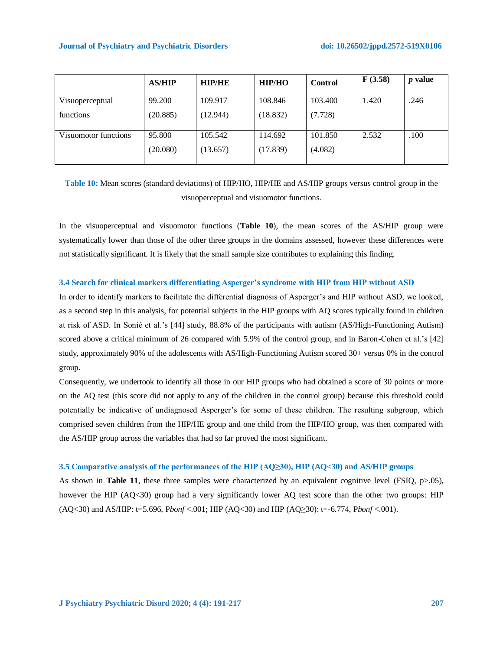|                      | <b>AS/HIP</b> | <b>HIP/HE</b> | <b>HIP/HO</b> | <b>Control</b> | F(3.58) | <i>p</i> value |
|----------------------|---------------|---------------|---------------|----------------|---------|----------------|
| Visuoperceptual      | 99.200        | 109.917       | 108.846       | 103.400        | 1.420   | .246           |
| functions            | (20.885)      | (12.944)      | (18.832)      | (7.728)        |         |                |
| Visuomotor functions | 95.800        | 105.542       | 114.692       | 101.850        | 2.532   | .100           |
|                      | (20.080)      | (13.657)      | (17.839)      | (4.082)        |         |                |

**Table 10:** Mean scores (standard deviations) of HIP/HO, HIP/HE and AS/HIP groups versus control group in the visuoperceptual and visuomotor functions.

In the visuoperceptual and visuomotor functions (**Table 10**), the mean scores of the AS/HIP group were systematically lower than those of the other three groups in the domains assessed, however these differences were not statistically significant. It is likely that the small sample size contributes to explaining this finding.

### **3.4 Search for clinical markers differentiating Asperger's syndrome with HIP from HIP without ASD**

In order to identify markers to facilitate the differential diagnosis of Asperger's and HIP without ASD, we looked, as a second step in this analysis, for potential subjects in the HIP groups with AQ scores typically found in children at risk of ASD. In Sonié et al.'s [44] study, 88.8% of the participants with autism (AS/High-Functioning Autism) scored above a critical minimum of 26 compared with 5.9% of the control group, and in Baron-Cohen et al.'s [42] study, approximately 90% of the adolescents with AS/High-Functioning Autism scored 30+ versus 0% in the control group.

Consequently, we undertook to identify all those in our HIP groups who had obtained a score of 30 points or more on the AQ test (this score did not apply to any of the children in the control group) because this threshold could potentially be indicative of undiagnosed Asperger's for some of these children. The resulting subgroup, which comprised seven children from the HIP/HE group and one child from the HIP/HO group, was then compared with the AS/HIP group across the variables that had so far proved the most significant.

### **3.5 Comparative analysis of the performances of the HIP (AQ≥30), HIP (AQ<30) and AS/HIP groups**

As shown in **Table 11**, these three samples were characterized by an equivalent cognitive level (FSIQ, p>.05), however the HIP (AQ<30) group had a very significantly lower AQ test score than the other two groups: HIP (AQ<30) and AS/HIP: t=5.696, P*bonf* <.001; HIP (AQ<30) and HIP (AQ≥30): t=-6.774, P*bonf* <.001).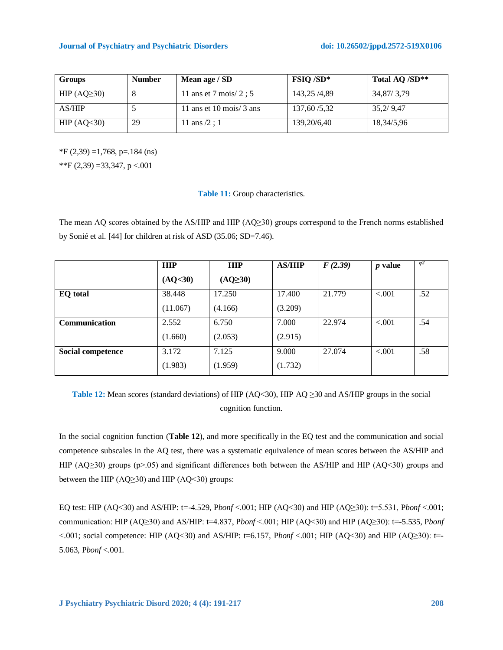| <b>Groups</b>    | <b>Number</b> | Mean age / SD                      | <b>FSIQ/SD*</b> | Total AQ /SD** |
|------------------|---------------|------------------------------------|-----------------|----------------|
| HIP $(AQ\geq30)$ | $^{\circ}$    | 11 ans et 7 mois/ $2:5$            | 143.25/4.89     | 34,87/3,79     |
| AS/HIP           |               | 11 ans et 10 mois/ $3 \text{ ans}$ | 137,60/5,32     | 35,2/9,47      |
| HIP $(AQ30)$     | 29            | 11 ans $/2$ ; 1                    | 139,20/6,40     | 18,34/5,96     |

 $*F(2,39) = 1,768$ , p=.184 (ns) \*\*F  $(2,39) = 33,347, p < 0.001$ 

### **Table 11:** Group characteristics.

The mean AQ scores obtained by the AS/HIP and HIP (AQ≥30) groups correspond to the French norms established by Sonié et al. [44] for children at risk of ASD (35.06; SD=7.46).

|                      | <b>HIP</b> | <b>HIP</b>   | <b>AS/HIP</b> | F(2.39) | <i>p</i> value | $\eta$ <sup>2</sup> |
|----------------------|------------|--------------|---------------|---------|----------------|---------------------|
|                      | (AQ<30)    | $(AQ\geq30)$ |               |         |                |                     |
| <b>EQ</b> total      | 38.448     | 17.250       | 17.400        | 21.779  | < 0.001        | .52                 |
|                      | (11.067)   | (4.166)      | (3.209)       |         |                |                     |
| <b>Communication</b> | 2.552      | 6.750        | 7.000         | 22.974  | ${<}001$       | .54                 |
|                      | (1.660)    | (2.053)      | (2.915)       |         |                |                     |
| Social competence    | 3.172      | 7.125        | 9.000         | 27.074  | < 0.001        | .58                 |
|                      | (1.983)    | (1.959)      | (1.732)       |         |                |                     |

**Table 12:** Mean scores (standard deviations) of HIP (AQ<30), HIP AQ ≥30 and AS/HIP groups in the social cognition function.

In the social cognition function (**Table 12**), and more specifically in the EQ test and the communication and social competence subscales in the AQ test, there was a systematic equivalence of mean scores between the AS/HIP and HIP (AQ≥30) groups (p>.05) and significant differences both between the AS/HIP and HIP (AQ<30) groups and between the HIP  $(AQ \geq 30)$  and HIP  $(AQ \leq 30)$  groups:

EQ test: HIP (AQ<30) and AS/HIP: t=-4.529, P*bonf* <.001; HIP (AQ<30) and HIP (AQ≥30): t=5.531, P*bonf* <.001; communication: HIP (AQ≥30) and AS/HIP: t=4.837, P*bonf* <.001; HIP (AQ<30) and HIP (AQ≥30): t=-5.535, P*bonf* <.001; social competence: HIP (AQ<30) and AS/HIP: t=6.157, P*bonf* <.001; HIP (AQ<30) and HIP (AQ≥30): t=- 5.063, P*bonf* <.001.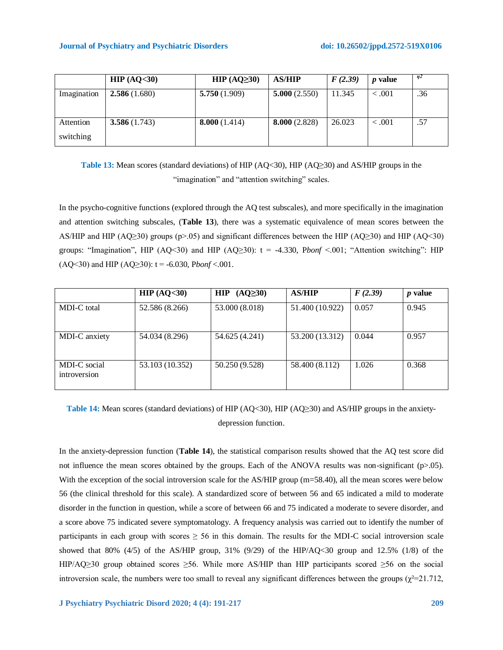|                        | HIP $(AQ<30)$ | HIP $(AQ\geq30)$ | <b>AS/HIP</b> | F(2.39) | <i>p</i> value | $\eta$ <sup>2</sup> |
|------------------------|---------------|------------------|---------------|---------|----------------|---------------------|
| Imagination            | 2.586(1.680)  | 5.750(1.909)     | 5.000(2.550)  | 11.345  | < 0.001        | .36                 |
| Attention<br>switching | 3.586(1.743)  | 8.000(1.414)     | 8.000(2.828)  | 26.023  | < 0.001        | .57                 |

**Table 13:** Mean scores (standard deviations) of HIP (AQ<30), HIP (AQ≥30) and AS/HIP groups in the "imagination" and "attention switching" scales.

In the psycho-cognitive functions (explored through the AQ test subscales), and more specifically in the imagination and attention switching subscales, (**Table 13**), there was a systematic equivalence of mean scores between the AS/HIP and HIP (AQ≥30) groups (p>.05) and significant differences between the HIP (AQ≥30) and HIP (AQ<30) groups: "Imagination", HIP (AQ<30) and HIP (AQ≥30):  $t = -4.330$ , *Pbonf* <.001; "Attention switching": HIP (AQ<30) and HIP (AQ≥30):  $t = -6.030$ , *Pbonf* <.001.

|                              | HIP $(AQ<30)$   | HIP $(AQ\geq30)$ | <b>AS/HIP</b>   | F(2.39) | <i>p</i> value |
|------------------------------|-----------------|------------------|-----------------|---------|----------------|
| MDI-C total                  | 52.586 (8.266)  | 53.000 (8.018)   | 51.400 (10.922) | 0.057   | 0.945          |
| MDI-C anxiety                | 54.034 (8.296)  | 54.625 (4.241)   | 53.200 (13.312) | 0.044   | 0.957          |
| MDI-C social<br>introversion | 53.103 (10.352) | 50.250 (9.528)   | 58.400 (8.112)  | 1.026   | 0.368          |

**Table 14:** Mean scores (standard deviations) of HIP (AQ<30), HIP (AQ≥30) and AS/HIP groups in the anxietydepression function.

In the anxiety-depression function (**Table 14**), the statistical comparison results showed that the AQ test score did not influence the mean scores obtained by the groups. Each of the ANOVA results was non-significant (p>.05). With the exception of the social introversion scale for the AS/HIP group (m=58.40), all the mean scores were below 56 (the clinical threshold for this scale). A standardized score of between 56 and 65 indicated a mild to moderate disorder in the function in question, while a score of between 66 and 75 indicated a moderate to severe disorder, and a score above 75 indicated severe symptomatology. A frequency analysis was carried out to identify the number of participants in each group with scores  $\geq$  56 in this domain. The results for the MDI-C social introversion scale showed that 80%  $(4/5)$  of the AS/HIP group, 31%  $(9/29)$  of the HIP/AQ<30 group and 12.5%  $(1/8)$  of the HIP/AQ≥30 group obtained scores ≥56. While more AS/HIP than HIP participants scored ≥56 on the social introversion scale, the numbers were too small to reveal any significant differences between the groups ( $\chi^2$ =21.712,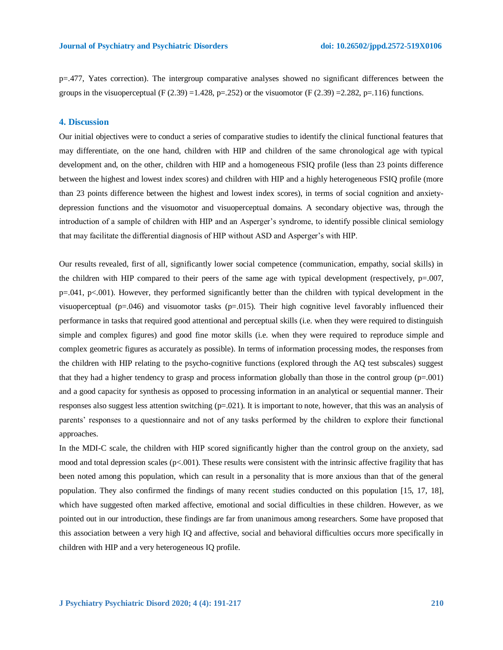p=.477, Yates correction). The intergroup comparative analyses showed no significant differences between the groups in the visuoperceptual (F (2.39) =1.428, p=.252) or the visuomotor (F (2.39) =2.282, p=.116) functions.

### **4. Discussion**

Our initial objectives were to conduct a series of comparative studies to identify the clinical functional features that may differentiate, on the one hand, children with HIP and children of the same chronological age with typical development and, on the other, children with HIP and a homogeneous FSIQ profile (less than 23 points difference between the highest and lowest index scores) and children with HIP and a highly heterogeneous FSIQ profile (more than 23 points difference between the highest and lowest index scores), in terms of social cognition and anxietydepression functions and the visuomotor and visuoperceptual domains. A secondary objective was, through the introduction of a sample of children with HIP and an Asperger's syndrome, to identify possible clinical semiology that may facilitate the differential diagnosis of HIP without ASD and Asperger's with HIP.

Our results revealed, first of all, significantly lower social competence (communication, empathy, social skills) in the children with HIP compared to their peers of the same age with typical development (respectively, p=.007, p=.041, p<.001). However, they performed significantly better than the children with typical development in the visuoperceptual (p=.046) and visuomotor tasks (p=.015). Their high cognitive level favorably influenced their performance in tasks that required good attentional and perceptual skills (i.e. when they were required to distinguish simple and complex figures) and good fine motor skills (i.e. when they were required to reproduce simple and complex geometric figures as accurately as possible). In terms of information processing modes, the responses from the children with HIP relating to the psycho-cognitive functions (explored through the AQ test subscales) suggest that they had a higher tendency to grasp and process information globally than those in the control group (p=.001) and a good capacity for synthesis as opposed to processing information in an analytical or sequential manner. Their responses also suggest less attention switching (p=.021). It is important to note, however, that this was an analysis of parents' responses to a questionnaire and not of any tasks performed by the children to explore their functional approaches.

In the MDI-C scale, the children with HIP scored significantly higher than the control group on the anxiety, sad mood and total depression scales ( $p<.001$ ). These results were consistent with the intrinsic affective fragility that has been noted among this population, which can result in a personality that is more anxious than that of the general population. They also confirmed the findings of many recent studies conducted on this population [15, 17, 18], which have suggested often marked affective, emotional and social difficulties in these children. However, as we pointed out in our introduction, these findings are far from unanimous among researchers. Some have proposed that this association between a very high IQ and affective, social and behavioral difficulties occurs more specifically in children with HIP and a very heterogeneous IQ profile.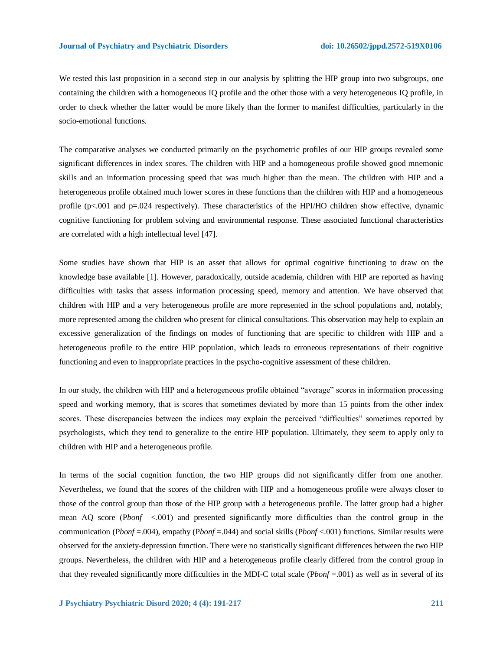We tested this last proposition in a second step in our analysis by splitting the HIP group into two subgroups, one containing the children with a homogeneous IQ profile and the other those with a very heterogeneous IQ profile, in order to check whether the latter would be more likely than the former to manifest difficulties, particularly in the socio-emotional functions.

The comparative analyses we conducted primarily on the psychometric profiles of our HIP groups revealed some significant differences in index scores. The children with HIP and a homogeneous profile showed good mnemonic skills and an information processing speed that was much higher than the mean. The children with HIP and a heterogeneous profile obtained much lower scores in these functions than the children with HIP and a homogeneous profile (p<.001 and p=.024 respectively). These characteristics of the HPI/HO children show effective, dynamic cognitive functioning for problem solving and environmental response. These associated functional characteristics are correlated with a high intellectual level [47].

Some studies have shown that HIP is an asset that allows for optimal cognitive functioning to draw on the knowledge base available [1]. However, paradoxically, outside academia, children with HIP are reported as having difficulties with tasks that assess information processing speed, memory and attention. We have observed that children with HIP and a very heterogeneous profile are more represented in the school populations and, notably, more represented among the children who present for clinical consultations. This observation may help to explain an excessive generalization of the findings on modes of functioning that are specific to children with HIP and a heterogeneous profile to the entire HIP population, which leads to erroneous representations of their cognitive functioning and even to inappropriate practices in the psycho-cognitive assessment of these children.

In our study, the children with HIP and a heterogeneous profile obtained "average" scores in information processing speed and working memory, that is scores that sometimes deviated by more than 15 points from the other index scores. These discrepancies between the indices may explain the perceived "difficulties" sometimes reported by psychologists, which they tend to generalize to the entire HIP population. Ultimately, they seem to apply only to children with HIP and a heterogeneous profile.

In terms of the social cognition function, the two HIP groups did not significantly differ from one another. Nevertheless, we found that the scores of the children with HIP and a homogeneous profile were always closer to those of the control group than those of the HIP group with a heterogeneous profile. The latter group had a higher mean AQ score (P*bonf* <.001) and presented significantly more difficulties than the control group in the communication (P*bonf* =.004), empathy (P*bonf* =.044) and social skills (P*bonf* <.001) functions. Similar results were observed for the anxiety-depression function. There were no statistically significant differences between the two HIP groups. Nevertheless, the children with HIP and a heterogeneous profile clearly differed from the control group in that they revealed significantly more difficulties in the MDI-C total scale (P*bonf* =.001) as well as in several of its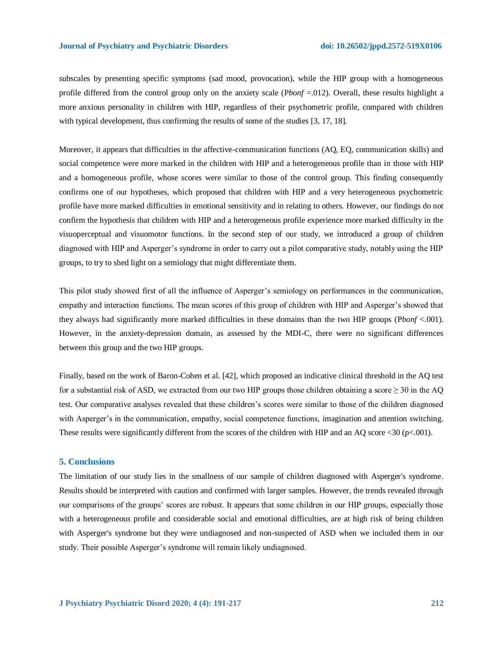subscales by presenting specific symptoms (sad mood, provocation), while the HIP group with a homogeneous profile differed from the control group only on the anxiety scale (P*bonf* =.012). Overall, these results highlight a more anxious personality in children with HIP, regardless of their psychometric profile, compared with children with typical development, thus confirming the results of some of the studies [3, 17, 18].

Moreover, it appears that difficulties in the affective-communication functions (AQ, EQ, communication skills) and social competence were more marked in the children with HIP and a heterogeneous profile than in those with HIP and a homogeneous profile, whose scores were similar to those of the control group. This finding consequently confirms one of our hypotheses, which proposed that children with HIP and a very heterogeneous psychometric profile have more marked difficulties in emotional sensitivity and in relating to others. However, our findings do not confirm the hypothesis that children with HIP and a heterogeneous profile experience more marked difficulty in the visuoperceptual and visuomotor functions. In the second step of our study, we introduced a group of children diagnosed with HIP and Asperger's syndrome in order to carry out a pilot comparative study, notably using the HIP groups, to try to shed light on a semiology that might differentiate them.

This pilot study showed first of all the influence of Asperger's semiology on performances in the communication, empathy and interaction functions. The mean scores of this group of children with HIP and Asperger's showed that they always had significantly more marked difficulties in these domains than the two HIP groups (P*bonf* <.001). However, in the anxiety-depression domain, as assessed by the MDI-C, there were no significant differences between this group and the two HIP groups.

Finally, based on the work of Baron-Cohen et al. [42], which proposed an indicative clinical threshold in the AQ test for a substantial risk of ASD, we extracted from our two HIP groups those children obtaining a score  $\geq$  30 in the AQ test. Our comparative analyses revealed that these children's scores were similar to those of the children diagnosed with Asperger's in the communication, empathy, social competence functions, imagination and attention switching. These results were significantly different from the scores of the children with HIP and an AQ score <30 (p<.001).

### **5. Conclusions**

The limitation of our study lies in the smallness of our sample of children diagnosed with Asperger's syndrome. Results should be interpreted with caution and confirmed with larger samples. However, the trends revealed through our comparisons of the groups' scores are robust. It appears that some children in our HIP groups, especially those with a heterogeneous profile and considerable social and emotional difficulties, are at high risk of being children with Asperger's syndrome but they were undiagnosed and non-suspected of ASD when we included them in our study. Their possible Asperger's syndrome will remain likely undiagnosed.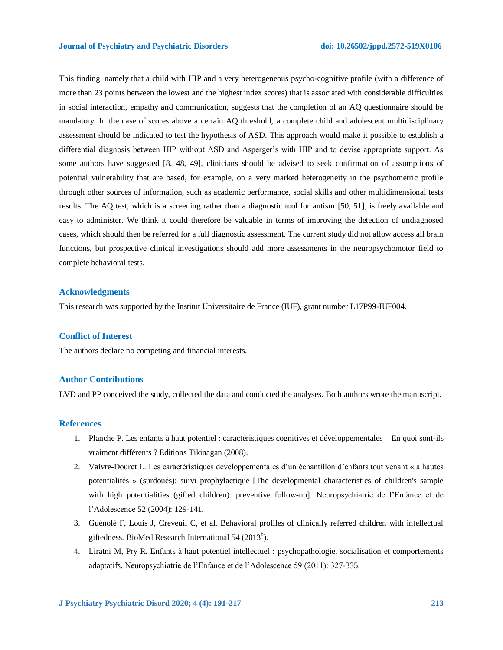This finding, namely that a child with HIP and a very heterogeneous psycho-cognitive profile (with a difference of more than 23 points between the lowest and the highest index scores) that is associated with considerable difficulties in social interaction, empathy and communication, suggests that the completion of an AQ questionnaire should be mandatory. In the case of scores above a certain AQ threshold, a complete child and adolescent multidisciplinary assessment should be indicated to test the hypothesis of ASD. This approach would make it possible to establish a differential diagnosis between HIP without ASD and Asperger's with HIP and to devise appropriate support. As some authors have suggested [8, 48, 49], clinicians should be advised to seek confirmation of assumptions of potential vulnerability that are based, for example, on a very marked heterogeneity in the psychometric profile through other sources of information, such as academic performance, social skills and other multidimensional tests results. The AQ test, which is a screening rather than a diagnostic tool for autism [50, 51], is freely available and easy to administer. We think it could therefore be valuable in terms of improving the detection of undiagnosed cases, which should then be referred for a full diagnostic assessment. The current study did not allow access all brain functions, but prospective clinical investigations should add more assessments in the neuropsychomotor field to complete behavioral tests.

#### **Acknowledgments**

This research was supported by the Institut Universitaire de France (IUF), grant number L17P99-IUF004.

### **Conflict of Interest**

The authors declare no competing and financial interests.

### **Author Contributions**

LVD and PP conceived the study, collected the data and conducted the analyses. Both authors wrote the manuscript.

### **References**

- 1. Planche P. Les enfants à haut potentiel : caractéristiques cognitives et développementales En quoi sont-ils vraiment différents ? Editions Tikinagan (2008).
- 2. Vaivre-Douret L. Les caractéristiques développementales d'un échantillon d'enfants tout venant « à hautes potentialités » (surdoués): suivi prophylactique [The developmental characteristics of children's sample with high potentialities (gifted children): preventive follow-up]. Neuropsychiatrie de l'Enfance et de l'Adolescence 52 (2004): 129-141.
- 3. Guénolé F, Louis J, Creveuil C, et al. Behavioral profiles of clinically referred children with intellectual giftedness. BioMed Research International  $54$  (2013<sup>b</sup>).
- 4. Liratni M, Pry R. Enfants à haut potentiel intellectuel : psychopathologie, socialisation et comportements adaptatifs. Neuropsychiatrie de l'Enfance et de l'Adolescence 59 (2011): 327-335.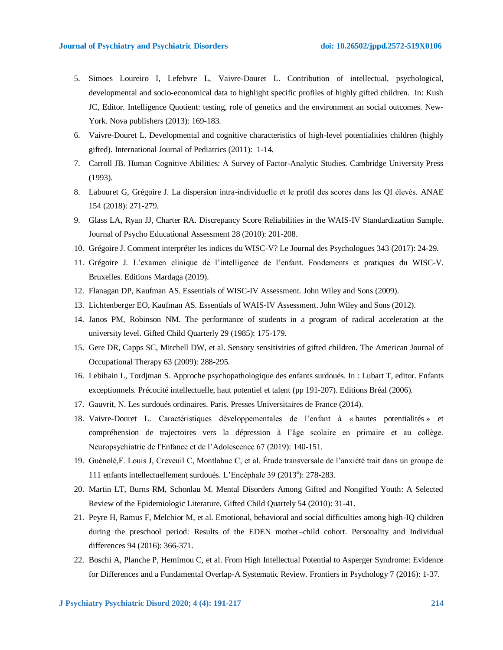- 5. Simoes Loureiro I, Lefebvre L, Vaivre-Douret L. Contribution of intellectual, psychological, developmental and socio-economical data to highlight specific profiles of highly gifted children. In: Kush JC, Editor. Intelligence Quotient: testing, role of genetics and the environment an social outcomes. New-York. Nova publishers (2013): 169-183.
- 6. Vaivre-Douret L. Developmental and cognitive characteristics of high-level potentialities children (highly gifted). International Journal of Pediatrics (2011):1-14*.*
- 7. Carroll JB. Human Cognitive Abilities: A Survey of Factor-Analytic Studies. Cambridge University Press (1993).
- 8. Labouret G, Grégoire J. La dispersion intra-individuelle et le profil des scores dans les QI élevés. ANAE 154 (2018): 271-279.
- 9. Glass LA, Ryan JJ, Charter RA. Discrepancy Score Reliabilities in the WAIS-IV Standardization Sample. Journal of Psycho Educational Assessment 28 (2010): 201-208.
- 10. Grégoire J. Comment interpréter les indices du WISC-V? Le Journal des Psychologues 343 (2017): 24-29.
- 11. Grégoire J. L'examen clinique de l'intelligence de l'enfant. Fondements et pratiques du WISC-V. Bruxelles. Editions Mardaga (2019).
- 12. Flanagan DP, Kaufman AS. Essentials of WISC-IV Assessment*.* John Wiley and Sons (2009).
- 13. Lichtenberger EO, Kaufman AS. Essentials of WAIS-IV Assessment. John Wiley and Sons (2012).
- 14. Janos PM, Robinson NM. The performance of students in a program of radical acceleration at the university level. Gifted Child Quarterly 29 (1985): 175-179.
- 15. Gere DR, Capps SC, Mitchell DW, et al. Sensory sensitivities of gifted children. The American Journal of Occupational Therapy 63 (2009): 288-295.
- 16. Lebihain L, Tordjman S. Approche psychopathologique des enfants surdoués. In : Lubart T, editor. Enfants exceptionnels. Précocité intellectuelle, haut potentiel et talent (pp 191-207). Editions Bréal (2006).
- 17. Gauvrit, N. Les surdoués ordinaires. Paris. Presses Universitaires de France (2014).
- 18. Vaivre-Douret L. Caractéristiques développementales de l'enfant à « hautes potentialités » et compréhension de trajectoires vers la dépression à l'âge scolaire en primaire et au collège. Neuropsychiatrie de l'Enfance et de l'Adolescence 67 (2019): 140-151.
- 19. Guénolé,F. Louis J, Creveuil C, Montlahuc C, et al. Étude transversale de l'anxiété trait dans un groupe de 111 enfants intellectuellement surdoués. L'Encéphale 39 (2013<sup>a</sup>): 278-283.
- 20. Martin LT, Burns RM, Schonlau M. Mental Disorders Among Gifted and Nongifted Youth: A Selected Review of the Epidemiologic Literature. Gifted Child Quartely 54 (2010): 31-41.
- 21. Peyre H, Ramus F, Melchior M, et al. Emotional, behavioral and social difficulties among high-IQ children during the preschool period: Results of the EDEN mother–child cohort. Personality and Individual differences 94 (2016): 366-371.
- 22. Boschi A, Planche P, Hemimou C, et al. From High Intellectual Potential to Asperger Syndrome: Evidence for Differences and a Fundamental Overlap-A Systematic Review. Frontiers in Psychology 7 (2016): 1-37.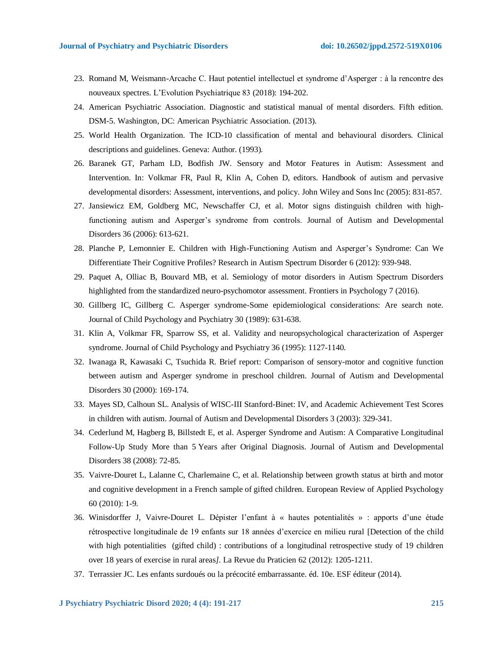- 23. Romand M, Weismann-Arcache C. Haut potentiel intellectuel et syndrome d'Asperger : à la rencontre des nouveaux spectres. L'Evolution Psychiatrique 83 (2018): 194-202.
- 24. American Psychiatric Association. Diagnostic and statistical manual of mental disorders. Fifth edition. DSM-5. Washington, DC: American Psychiatric Association. (2013).
- 25. World Health Organization. The ICD-10 classification of mental and behavioural disorders. Clinical descriptions and guidelines. Geneva: Author. (1993).
- 26. Baranek GT, Parham LD, Bodfish JW. Sensory and Motor Features in Autism: Assessment and Intervention. In: Volkmar FR, Paul R, Klin A, Cohen D, editors. Handbook of autism and pervasive developmental disorders: Assessment, interventions, and policy. John Wiley and Sons Inc (2005): 831-857.
- 27. Jansiewicz EM, Goldberg MC, Newschaffer CJ, et al. Motor signs distinguish children with highfunctioning autism and Asperger's syndrome from controls. Journal of Autism and Developmental Disorders 36 (2006): 613-621.
- 28. Planche P, Lemonnier E. Children with High-Functioning Autism and Asperger's Syndrome: Can We Differentiate Their Cognitive Profiles? Research in Autism Spectrum Disorder 6 (2012): 939-948.
- 29. Paquet A, Olliac B, Bouvard MB, et al. Semiology of motor disorders in Autism Spectrum Disorders highlighted from the standardized neuro-psychomotor assessment. Frontiers in Psychology 7 (2016).
- 30. Gillberg IC, Gillberg C. Asperger syndrome-Some epidemiological considerations: Are search note. Journal of Child Psychology and Psychiatry 30 (1989): 631-638.
- 31. Klin A, Volkmar FR, Sparrow SS, et al. Validity and neuropsychological characterization of Asperger syndrome. Journal of Child Psychology and Psychiatry 36 (1995): 1127-1140.
- 32. Iwanaga R, Kawasaki C, Tsuchida R. Brief report: Comparison of sensory-motor and cognitive function between autism and Asperger syndrome in preschool children. Journal of Autism and Developmental Disorders 30 (2000): 169-174.
- 33. Mayes SD, Calhoun SL. Analysis of WISC-III Stanford-Binet: IV, and Academic Achievement Test Scores in children with autism. Journal of Autism and Developmental Disorders 3 (2003): 329-341.
- 34. Cederlund M, Hagberg B, Billstedt E, et al. Asperger Syndrome and Autism: A Comparative Longitudinal Follow-Up Study More than 5 Years after Original Diagnosis. Journal of Autism and Developmental Disorders 38 (2008): 72-85.
- 35. Vaivre-Douret L, Lalanne C, Charlemaine C, et al. Relationship between growth status at birth and motor and cognitive development in a French sample of gifted children. European Review of Applied Psychology 60 (2010): 1-9.
- 36. Winisdorffer J, Vaivre-Douret L. Dépister l'enfant à « hautes potentialités » : apports d'une étude rétrospective longitudinale de 19 enfants sur 18 années d'exercice en milieu rural [Detection of the child with high potentialities (gifted child) : contributions of a longitudinal retrospective study of 19 children over 18 years of exercise in rural areas*].* La Revue du Praticien 62 (2012): 1205-1211.
- 37. Terrassier JC. Les enfants surdoués ou la précocité embarrassante. éd. 10e. ESF éditeur (2014).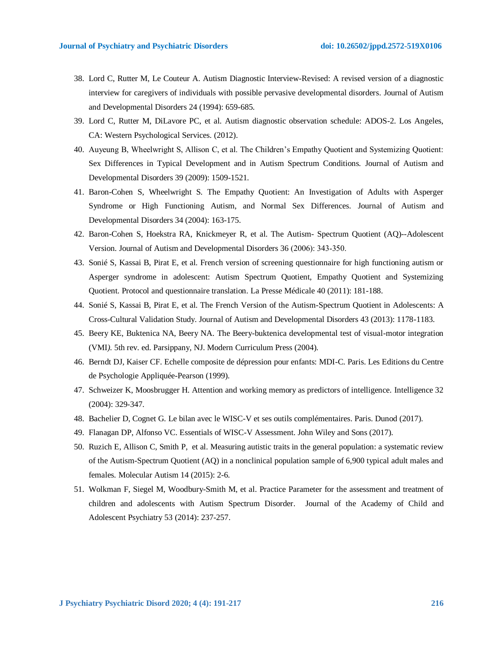- 38. Lord C, Rutter M, Le Couteur A. Autism Diagnostic Interview-Revised: A revised version of a diagnostic interview for caregivers of individuals with possible pervasive developmental disorders*.* Journal of Autism and Developmental Disorders 24 (1994): 659-685.
- 39. Lord C, Rutter M, DiLavore PC, et al. Autism diagnostic observation schedule: ADOS-2. Los Angeles, CA: Western Psychological Services. (2012).
- 40. Auyeung B, Wheelwright S, Allison C, et al. The Children's Empathy Quotient and Systemizing Quotient: Sex Differences in Typical Development and in Autism Spectrum Conditions. Journal of Autism and Developmental Disorders 39 (2009): 1509-1521.
- 41. Baron-Cohen S, Wheelwright S. The Empathy Quotient: An Investigation of Adults with Asperger Syndrome or High Functioning Autism, and Normal Sex Differences. Journal of Autism and Developmental Disorders 34 (2004): 163-175.
- 42. Baron-Cohen S, Hoekstra RA, Knickmeyer R, et al. The Autism- Spectrum Quotient (AQ)--Adolescent Version. Journal of Autism and Developmental Disorders 36 (2006): 343‑350.
- 43. Sonié S, Kassai B, Pirat E, et al. French version of screening questionnaire for high functioning autism or Asperger syndrome in adolescent: Autism Spectrum Quotient, Empathy Quotient and Systemizing Quotient. Protocol and questionnaire translation. La Presse Médicale 40 (2011): 181-188.
- 44. Sonié S, Kassai B, Pirat E, et al. The French Version of the Autism-Spectrum Quotient in Adolescents: A Cross-Cultural Validation Study. Journal of Autism and Developmental Disorders 43 (2013): 1178-1183.
- 45. Beery KE, Buktenica NA, Beery NA. The Beery-buktenica developmental test of visual-motor integration (VMI*)*. 5th rev. ed. Parsippany, NJ. Modern Curriculum Press (2004).
- 46. Berndt DJ, Kaiser CF. Echelle composite de dépression pour enfants: MDI-C. Paris. Les Editions du Centre de Psychologie Appliquée-Pearson (1999).
- 47. Schweizer K, Moosbrugger H. Attention and working memory as predictors of intelligence. Intelligence 32 (2004): 329-347.
- 48. Bachelier D, Cognet G. Le bilan avec le WISC-V et ses outils complémentaires. Paris. Dunod (2017).
- 49. Flanagan DP, Alfonso VC. Essentials of WISC-V Assessment. John Wiley and Sons (2017).
- 50. [Ruzich E,](https://www.ncbi.nlm.nih.gov/pubmed/?term=Ruzich%20E%5BAuthor%5D&cauthor=true&cauthor_uid=25874074) Allison C, [Smith P,](https://www.ncbi.nlm.nih.gov/pubmed/?term=Smith%20P%5BAuthor%5D&cauthor=true&cauthor_uid=25874074) et al. Measuring autistic traits in the general population: a systematic review of the Autism-Spectrum Quotient (AQ) in a nonclinical population sample of 6,900 typical adult males and females*.* Molecular Autism 14 (2015): 2-6.
- 51. Wolkman F, Siegel M, Woodbury-Smith M, et al. Practice Parameter for the assessment and treatment of children and adolescents with Autism Spectrum Disorder. Journal of the Academy of Child and Adolescent Psychiatry 53 (2014): 237-257.